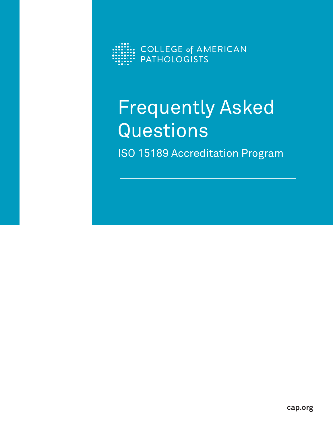

# Frequently Asked Questions ISO 15189 Accreditation Program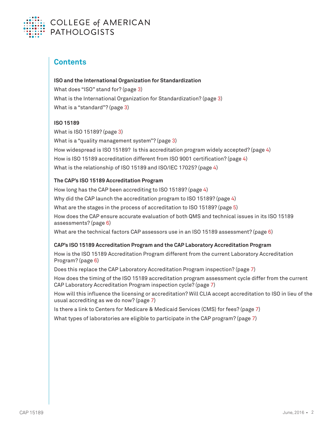

## **Contents**

## **ISO and the International Organization for Standardization**

What does "ISO" stand for? (page 3) What is the International Organization for Standardization? (page 3) What is a "standard"? (page 3)

## **ISO 15189**

What is ISO 15189? (page 3) What is a "quality management system"? (page 3) How widespread is ISO 15189? Is this accreditation program widely accepted? (page 4) How is ISO 15189 accreditation different from ISO 9001 certification? (page 4) What is the relationship of ISO 15189 and ISO/IEC 17025? (page 4)

## **The CAP's ISO 15189 Accreditation Program**

How long has the CAP been accrediting to ISO 15189? (page 4) Why did the CAP launch the accreditation program to ISO 15189? (page 4) What are the stages in the process of accreditation to ISO 15189? (page 5) How does the CAP ensure accurate evaluation of both QMS and technical issues in its ISO 15189 assessments? (page 6) What are the technical factors CAP assessors use in an ISO 15189 assessment? (page 6)

## **CAP's ISO 15189 Accreditation Program and the CAP Laboratory Accreditation Program**

How is the ISO 15189 Accreditation Program different from the current Laboratory Accreditation Program? (page 6)

Does this replace the CAP Laboratory Accreditation Program inspection? (page 7)

How does the timing of the ISO 15189 accreditation program assessment cycle differ from the current CAP Laboratory Accreditation Program inspection cycle? (page 7)

How will this influence the licensing or accreditation? Will CLIA accept accreditation to ISO in lieu of the usual accrediting as we do now? (page 7)

Is there a link to Centers for Medicare & Medicaid Services (CMS) for fees? (page 7)

What types of laboratories are eligible to participate in the CAP program? (page 7)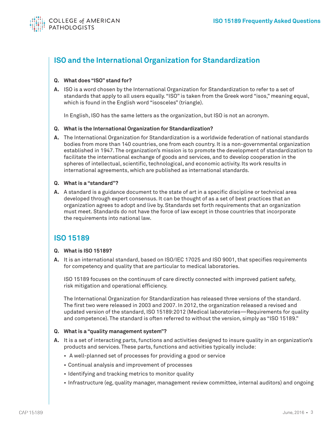

# **ISO and the International Organization for Standardization**

### **Q. What does "ISO" stand for?**

**A.** ISO is a word chosen by the International Organization for Standardization to refer to a set of standards that apply to all users equally. "ISO" is taken from the Greek word "isos," meaning equal, which is found in the English word "isosceles" (triangle).

In English, ISO has the same letters as the organization, but ISO is not an acronym.

#### **Q. What is the International Organization for Standardization?**

**A.** The International Organization for Standardization is a worldwide federation of national standards bodies from more than 140 countries, one from each country. It is a non-governmental organization established in 1947. The organization's mission is to promote the development of standardization to facilitate the international exchange of goods and services, and to develop cooperation in the spheres of intellectual, scientific, technological, and economic activity. Its work results in international agreements, which are published as international standards.

#### **Q. What is a "standard"?**

**A.** A standard is a guidance document to the state of art in a specific discipline or technical area developed through expert consensus. It can be thought of as a set of best practices that an organization agrees to adopt and live by. Standards set forth requirements that an organization must meet. Standards do not have the force of law except in those countries that incorporate the requirements into national law.

## **ISO 15189**

### **Q. What is ISO 15189?**

**A.** It is an international standard, based on ISO/IEC 17025 and ISO 9001, that specifies requirements for competency and quality that are particular to medical laboratories.

 ISO 15189 focuses on the continuum of care directly connected with improved patient safety, risk mitigation and operational efficiency.

 The International Organization for Standardization has released three versions of the standard. The first two were released in 2003 and 2007. In 2012, the organization released a revised and updated version of the standard, ISO 15189:2012 (Medical laboratories—Requirements for quality and competence). The standard is often referred to without the version, simply as "ISO 15189."

### **Q. What is a "quality management system"?**

- **A.** It is a set of interacting parts, functions and activities designed to insure quality in an organization's products and services. These parts, functions and activities typically include:
	- A well-planned set of processes for providing a good or service
	- Continual analysis and improvement of processes
	- Identifying and tracking metrics to monitor quality
	- Infrastructure (eg, quality manager, management review committee, internal auditors) and ongoing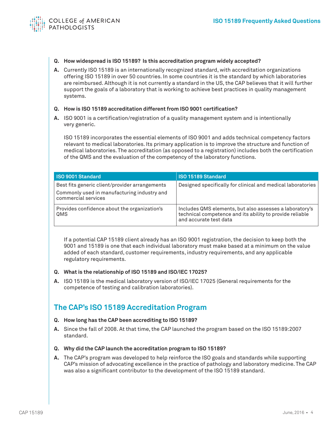

- **Q. How widespread is ISO 15189? Is this accreditation program widely accepted?**
- **A.** Currently ISO 15189 is an internationally recognized standard, with accreditation organizations offering ISO 15189 in over 50 countries. In some countries it is the standard by which laboratories are reimbursed. Although it is not currently a standard in the US, the CAP believes that it will further support the goals of a laboratory that is working to achieve best practices in quality management systems.

#### **Q. How is ISO 15189 accreditation different from ISO 9001 certification?**

**A.** ISO 9001 is a certification/registration of a quality management system and is intentionally very generic.

 ISO 15189 incorporates the essential elements of ISO 9001 and adds technical competency factors relevant to medical laboratories. Its primary application is to improve the structure and function of medical laboratories. The accreditation (as opposed to a registration) includes both the certification of the QMS and the evaluation of the competency of the laboratory functions.

| <b>ISO 9001 Standard</b>                                                                                             | ISO 15189 Standard                                                                                                                            |
|----------------------------------------------------------------------------------------------------------------------|-----------------------------------------------------------------------------------------------------------------------------------------------|
| Best fits generic client/provider arrangements<br>Commonly used in manufacturing industry and<br>commercial services | Designed specifically for clinical and medical laboratories                                                                                   |
| Provides confidence about the organization's<br>QMS                                                                  | Includes QMS elements, but also assesses a laboratory's<br>technical competence and its ability to provide reliable<br>and accurate test data |

 If a potential CAP 15189 client already has an ISO 9001 registration, the decision to keep both the 9001 and 15189 is one that each individual laboratory must make based at a minimum on the value added of each standard, customer requirements, industry requirements, and any applicable regulatory requirements.

#### **Q. What is the relationship of ISO 15189 and ISO/IEC 17025?**

**A.** ISO 15189 is the medical laboratory version of ISO/IEC 17025 (General requirements for the competence of testing and calibration laboratories).

## **The CAP's ISO 15189 Accreditation Program**

- **Q. How long has the CAP been accrediting to ISO 15189?**
- **A.** Since the fall of 2008. At that time, the CAP launched the program based on the ISO 15189:2007 standard.
- **Q. Why did the CAP launch the accreditation program to ISO 15189?**
- **A.** The CAP's program was developed to help reinforce the ISO goals and standards while supporting CAP's mission of advocating excellence in the practice of pathology and laboratory medicine. The CAP was also a significant contributor to the development of the ISO 15189 standard.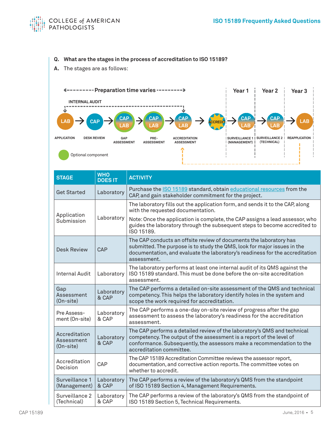

## **Q. What are the stages in the process of accreditation to ISO 15189?**

**A.** The stages are as follows:



| <b>STAGE</b>                             | <b>WHO</b><br><b>DOES IT</b> | <b>ACTIVITY</b>                                                                                                                                                                                                                                       |
|------------------------------------------|------------------------------|-------------------------------------------------------------------------------------------------------------------------------------------------------------------------------------------------------------------------------------------------------|
| <b>Get Started</b>                       | Laboratory                   | Purchase the ISO 15189 standard, obtain educational resources from the<br>CAP, and gain stakeholder commitment for the project.                                                                                                                       |
|                                          |                              | The laboratory fills out the application form, and sends it to the CAP, along<br>with the requested documentation.                                                                                                                                    |
| Application<br>Submission                | Laboratory                   | Note: Once the application is complete, the CAP assigns a lead assessor, who<br>guides the laboratory through the subsequent steps to become accredited to<br>ISO 15189.                                                                              |
| <b>Desk Review</b>                       | CAP                          | The CAP conducts an offsite review of documents the laboratory has<br>submitted. The purpose is to study the QMS, look for major issues in the<br>documentation, and evaluate the laboratory's readiness for the accreditation<br>assessment.         |
| <b>Internal Audit</b>                    | Laboratory                   | The laboratory performs at least one internal audit of its QMS against the<br>ISO 15189 standard. This must be done before the on-site accreditation<br>assessment.                                                                                   |
| Gap<br>Assessment<br>(On-site)           | Laboratory<br>& CAP          | The CAP performs a detailed on-site assessment of the QMS and technical<br>competency. This helps the laboratory identify holes in the system and<br>scope the work required for accreditation.                                                       |
| Pre Assess-<br>ment (On-site)            | Laboratory<br>& CAP          | The CAP performs a one-day on-site review of progress after the gap<br>assessment to assess the laboratory's readiness for the accreditation<br>assessment.                                                                                           |
| Accreditation<br>Assessment<br>(On-site) | Laboratory<br>& CAP          | The CAP performs a detailed review of the laboratory's QMS and technical<br>competency. The output of the assessment is a report of the level of<br>conformance. Subsequently, the assessors make a recommendation to the<br>accreditation committee. |
| Accreditation<br>Decision                | CAP                          | The CAP 15189 Accreditation Committee reviews the assessor report,<br>documentation, and corrective action reports. The committee votes on<br>whether to accredit.                                                                                    |
| Surveillance 1<br>(Management)           | Laboratory<br>& CAP          | The CAP performs a review of the laboratory's QMS from the standpoint<br>of ISO 15189 Section 4, Management Requirements.                                                                                                                             |
| Surveillance 2<br>(Technical)            | Laboratory<br>& CAP          | The CAP performs a review of the laboratory's QMS from the standpoint of<br>ISO 15189 Section 5, Technical Requirements.                                                                                                                              |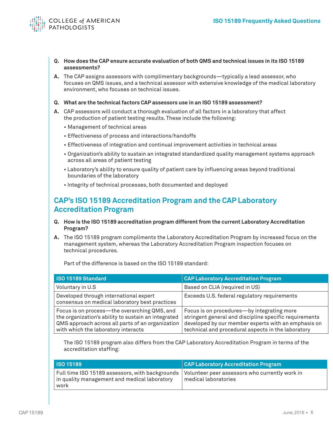

- **Q. How does the CAP ensure accurate evaluation of both QMS and technical issues in its ISO 15189 assessments?**
- **A.** The CAP assigns assessors with complimentary backgrounds—typically a lead assessor, who focuses on QMS issues, and a technical assessor with extensive knowledge of the medical laboratory environment, who focuses on technical issues.
- **Q. What are the technical factors CAP assessors use in an ISO 15189 assessment?**
- **A.** CAP assessors will conduct a thorough evaluation of all factors in a laboratory that affect the production of patient testing results. These include the following:
	- Management of technical areas
	- Effectiveness of process and interactions/handoffs
	- Effectiveness of integration and continual improvement activities in technical areas
	- Organization's ability to sustain an integrated standardized quality management systems approach across all areas of patient testing
	- Laboratory's ability to ensure quality of patient care by influencing areas beyond traditional boundaries of the laboratory
	- Integrity of technical processes, both documented and deployed

## **CAP's ISO 15189 Accreditation Program and the CAP Laboratory Accreditation Program**

- **Q. How is the ISO 15189 accreditation program different from the current Laboratory Accreditation Program?**
- **A.** The ISO 15189 program compliments the Laboratory Accreditation Program by increased focus on the management system, whereas the Laboratory Accreditation Program inspection focuses on technical procedures.

Part of the difference is based on the ISO 15189 standard:

| ISO 15189 Standard                                                                                                                                                                             | <b>CAP Laboratory Accreditation Program</b>                                                                                                                                                                       |
|------------------------------------------------------------------------------------------------------------------------------------------------------------------------------------------------|-------------------------------------------------------------------------------------------------------------------------------------------------------------------------------------------------------------------|
| Voluntary in U.S                                                                                                                                                                               | Based on CLIA (required in US)                                                                                                                                                                                    |
| Developed through international expert<br>consensus on medical laboratory best practices                                                                                                       | Exceeds U.S. federal regulatory requirements                                                                                                                                                                      |
| Focus is on process—the overarching QMS, and<br>the organization's ability to sustain an integrated<br>QMS approach across all parts of an organization<br>with which the laboratory interacts | Focus is on procedures-by integrating more<br>stringent general and discipline specific requirements<br>developed by our member experts with an emphasis on<br>technical and procedural aspects in the laboratory |

 The ISO 15189 program also differs from the CAP Laboratory Accreditation Program in terms of the accreditation staffing:

| <b>ISO 15189</b>                                                                                                                                                     | <b>CAP Laboratory Accreditation Program</b> |
|----------------------------------------------------------------------------------------------------------------------------------------------------------------------|---------------------------------------------|
| $\mid$ Full time ISO 15189 assessors, with backgrounds $\mid$ Volunteer peer assessors who currently work in<br>in quality management and medical laboratory<br>work | l medical laboratories                      |